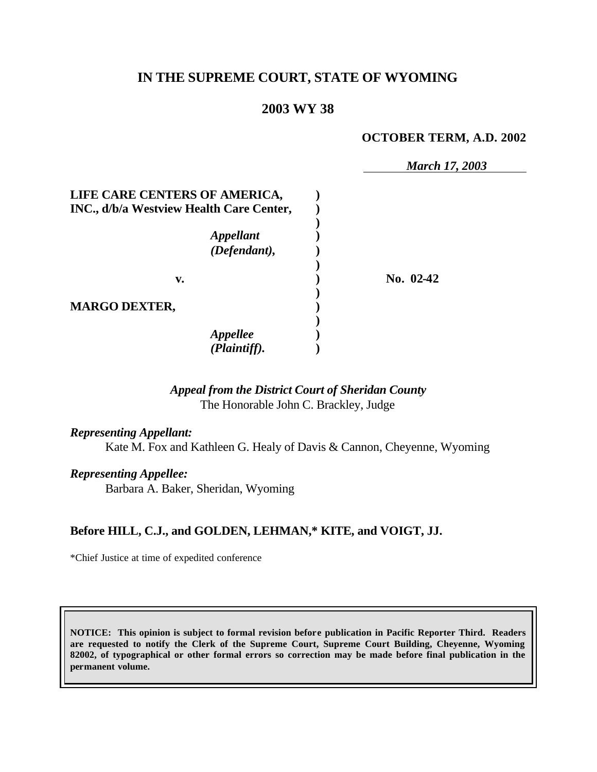# **IN THE SUPREME COURT, STATE OF WYOMING**

### **2003 WY 38**

#### **OCTOBER TERM, A.D. 2002**

|                                          | <b>March 17, 2003</b> |
|------------------------------------------|-----------------------|
| LIFE CARE CENTERS OF AMERICA,            |                       |
| INC., d/b/a Westview Health Care Center, |                       |
| <b>Appellant</b><br>(Defendant),         |                       |
| V.                                       | No. 02-42             |
| <b>MARGO DEXTER,</b>                     |                       |
| <b>Appellee</b><br>(Plaintiff).          |                       |

#### *Appeal from the District Court of Sheridan County* The Honorable John C. Brackley, Judge

*Representing Appellant:*

Kate M. Fox and Kathleen G. Healy of Davis & Cannon, Cheyenne, Wyoming

*Representing Appellee:*

Barbara A. Baker, Sheridan, Wyoming

#### **Before HILL, C.J., and GOLDEN, LEHMAN,\* KITE, and VOIGT, JJ.**

\*Chief Justice at time of expedited conference

**NOTICE: This opinion is subject to formal revision before publication in Pacific Reporter Third. Readers are requested to notify the Clerk of the Supreme Court, Supreme Court Building, Cheyenne, Wyoming 82002, of typographical or other formal errors so correction may be made before final publication in the permanent volume.**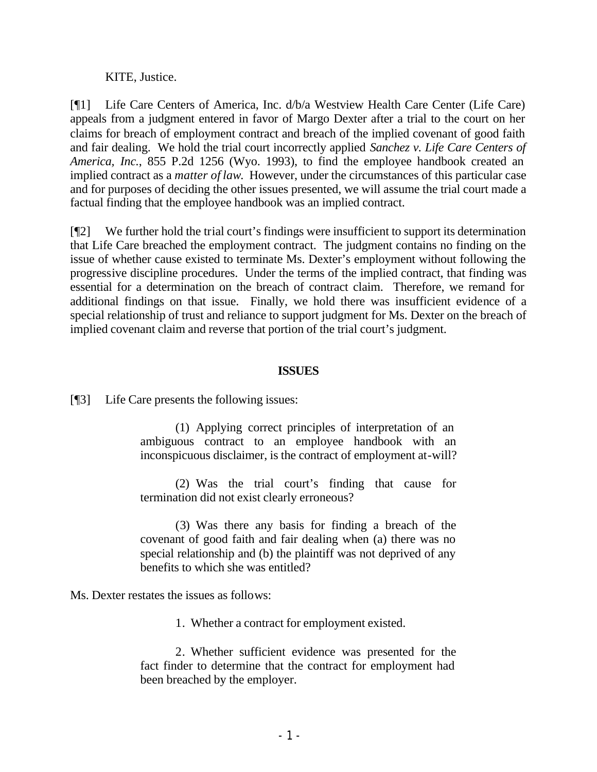KITE, Justice.

[¶1] Life Care Centers of America, Inc. d/b/a Westview Health Care Center (Life Care) appeals from a judgment entered in favor of Margo Dexter after a trial to the court on her claims for breach of employment contract and breach of the implied covenant of good faith and fair dealing. We hold the trial court incorrectly applied *Sanchez v. Life Care Centers of America, Inc.*, 855 P.2d 1256 (Wyo. 1993), to find the employee handbook created an implied contract as a *matter of law*. However, under the circumstances of this particular case and for purposes of deciding the other issues presented, we will assume the trial court made a factual finding that the employee handbook was an implied contract.

[¶2] We further hold the trial court's findings were insufficient to support its determination that Life Care breached the employment contract. The judgment contains no finding on the issue of whether cause existed to terminate Ms. Dexter's employment without following the progressive discipline procedures. Under the terms of the implied contract, that finding was essential for a determination on the breach of contract claim. Therefore, we remand for additional findings on that issue. Finally, we hold there was insufficient evidence of a special relationship of trust and reliance to support judgment for Ms. Dexter on the breach of implied covenant claim and reverse that portion of the trial court's judgment.

#### **ISSUES**

[¶3] Life Care presents the following issues:

(1) Applying correct principles of interpretation of an ambiguous contract to an employee handbook with an inconspicuous disclaimer, is the contract of employment at-will?

(2) Was the trial court's finding that cause for termination did not exist clearly erroneous?

(3) Was there any basis for finding a breach of the covenant of good faith and fair dealing when (a) there was no special relationship and (b) the plaintiff was not deprived of any benefits to which she was entitled?

Ms. Dexter restates the issues as follows:

1. Whether a contract for employment existed.

2. Whether sufficient evidence was presented for the fact finder to determine that the contract for employment had been breached by the employer.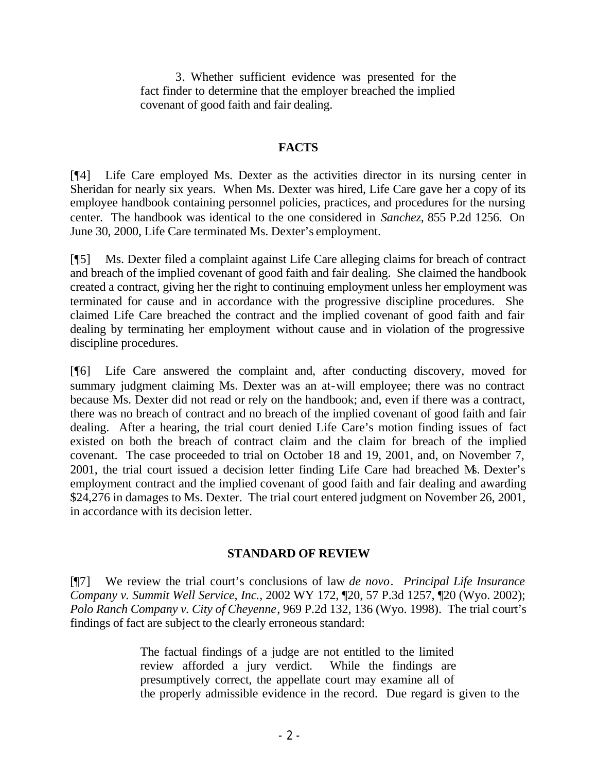3. Whether sufficient evidence was presented for the fact finder to determine that the employer breached the implied covenant of good faith and fair dealing.

# **FACTS**

[¶4] Life Care employed Ms. Dexter as the activities director in its nursing center in Sheridan for nearly six years. When Ms. Dexter was hired, Life Care gave her a copy of its employee handbook containing personnel policies, practices, and procedures for the nursing center. The handbook was identical to the one considered in *Sanchez,* 855 P.2d 1256. On June 30, 2000, Life Care terminated Ms. Dexter's employment.

[¶5] Ms. Dexter filed a complaint against Life Care alleging claims for breach of contract and breach of the implied covenant of good faith and fair dealing. She claimed the handbook created a contract, giving her the right to continuing employment unless her employment was terminated for cause and in accordance with the progressive discipline procedures. She claimed Life Care breached the contract and the implied covenant of good faith and fair dealing by terminating her employment without cause and in violation of the progressive discipline procedures.

[¶6] Life Care answered the complaint and, after conducting discovery, moved for summary judgment claiming Ms. Dexter was an at-will employee; there was no contract because Ms. Dexter did not read or rely on the handbook; and, even if there was a contract, there was no breach of contract and no breach of the implied covenant of good faith and fair dealing. After a hearing, the trial court denied Life Care's motion finding issues of fact existed on both the breach of contract claim and the claim for breach of the implied covenant. The case proceeded to trial on October 18 and 19, 2001, and, on November 7, 2001, the trial court issued a decision letter finding Life Care had breached Ms. Dexter's employment contract and the implied covenant of good faith and fair dealing and awarding \$24,276 in damages to Ms. Dexter. The trial court entered judgment on November 26, 2001, in accordance with its decision letter.

# **STANDARD OF REVIEW**

[¶7] We review the trial court's conclusions of law *de novo*. *Principal Life Insurance Company v. Summit Well Service, Inc.*, 2002 WY 172, ¶20, 57 P.3d 1257, ¶20 (Wyo. 2002); *Polo Ranch Company v. City of Cheyenne*, 969 P.2d 132, 136 (Wyo. 1998). The trial court's findings of fact are subject to the clearly erroneous standard:

> The factual findings of a judge are not entitled to the limited review afforded a jury verdict. While the findings are presumptively correct, the appellate court may examine all of the properly admissible evidence in the record. Due regard is given to the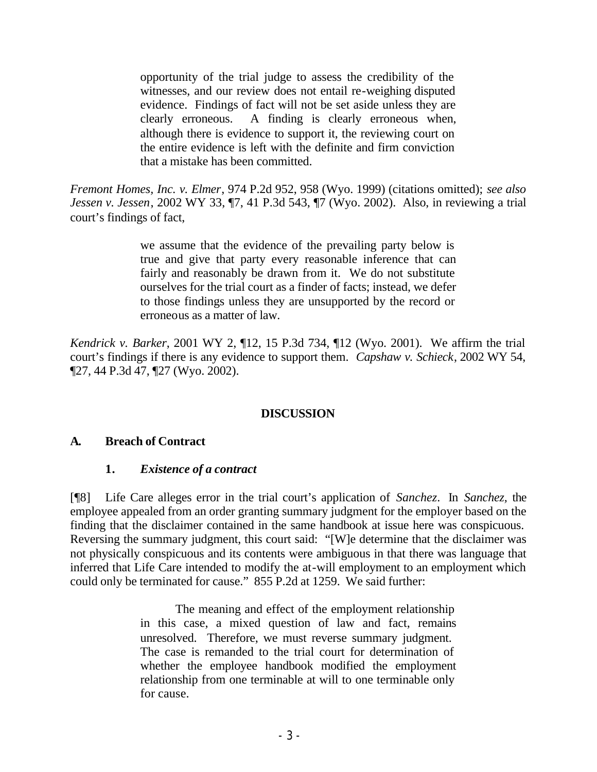opportunity of the trial judge to assess the credibility of the witnesses, and our review does not entail re-weighing disputed evidence. Findings of fact will not be set aside unless they are clearly erroneous. A finding is clearly erroneous when, although there is evidence to support it, the reviewing court on the entire evidence is left with the definite and firm conviction that a mistake has been committed.

*Fremont Homes, Inc. v. Elmer*, 974 P.2d 952, 958 (Wyo. 1999) (citations omitted); *see also Jessen v. Jessen*, 2002 WY 33, ¶7, 41 P.3d 543, ¶7 (Wyo. 2002). Also, in reviewing a trial court's findings of fact,

> we assume that the evidence of the prevailing party below is true and give that party every reasonable inference that can fairly and reasonably be drawn from it. We do not substitute ourselves for the trial court as a finder of facts; instead, we defer to those findings unless they are unsupported by the record or erroneous as a matter of law.

*Kendrick v. Barker*, 2001 WY 2, ¶12, 15 P.3d 734, ¶12 (Wyo. 2001). We affirm the trial court's findings if there is any evidence to support them. *Capshaw v. Schieck*, 2002 WY 54, ¶27, 44 P.3d 47, ¶27 (Wyo. 2002).

# **DISCUSSION**

# **A. Breach of Contract**

#### **1.** *Existence of a contract*

[¶8] Life Care alleges error in the trial court's application of *Sanchez*. In *Sanchez,* the employee appealed from an order granting summary judgment for the employer based on the finding that the disclaimer contained in the same handbook at issue here was conspicuous. Reversing the summary judgment, this court said: "[W]e determine that the disclaimer was not physically conspicuous and its contents were ambiguous in that there was language that inferred that Life Care intended to modify the at-will employment to an employment which could only be terminated for cause." 855 P.2d at 1259. We said further:

> The meaning and effect of the employment relationship in this case, a mixed question of law and fact, remains unresolved. Therefore, we must reverse summary judgment. The case is remanded to the trial court for determination of whether the employee handbook modified the employment relationship from one terminable at will to one terminable only for cause.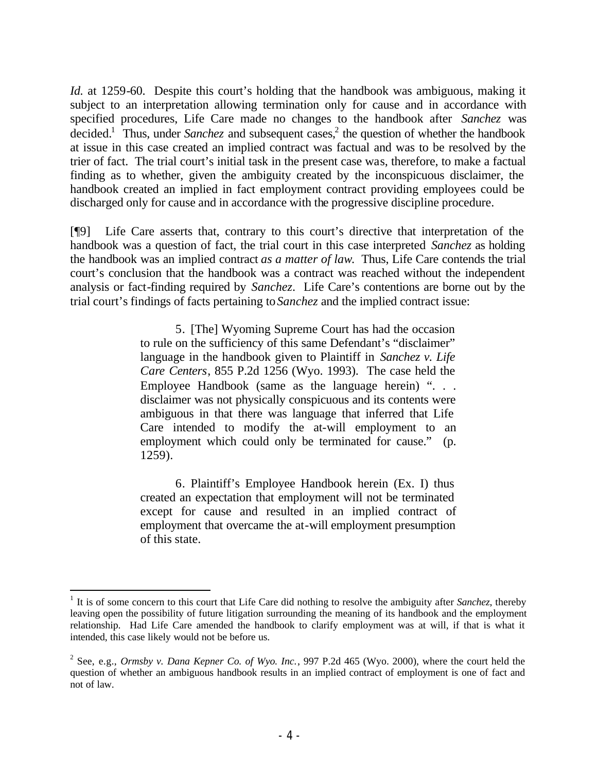*Id.* at 1259-60. Despite this court's holding that the handbook was ambiguous, making it subject to an interpretation allowing termination only for cause and in accordance with specified procedures, Life Care made no changes to the handbook after *Sanchez* was decided.<sup>1</sup> Thus, under *Sanchez* and subsequent cases,<sup>2</sup> the question of whether the handbook at issue in this case created an implied contract was factual and was to be resolved by the trier of fact. The trial court's initial task in the present case was, therefore, to make a factual finding as to whether, given the ambiguity created by the inconspicuous disclaimer, the handbook created an implied in fact employment contract providing employees could be discharged only for cause and in accordance with the progressive discipline procedure.

[¶9] Life Care asserts that, contrary to this court's directive that interpretation of the handbook was a question of fact, the trial court in this case interpreted *Sanchez* as holding the handbook was an implied contract *as a matter of law*. Thus, Life Care contends the trial court's conclusion that the handbook was a contract was reached without the independent analysis or fact-finding required by *Sanchez*. Life Care's contentions are borne out by the trial court's findings of facts pertaining to *Sanchez* and the implied contract issue:

> 5. [The] Wyoming Supreme Court has had the occasion to rule on the sufficiency of this same Defendant's "disclaimer" language in the handbook given to Plaintiff in *Sanchez v. Life Care Centers*, 855 P.2d 1256 (Wyo. 1993). The case held the Employee Handbook (same as the language herein) "... disclaimer was not physically conspicuous and its contents were ambiguous in that there was language that inferred that Life Care intended to modify the at-will employment to an employment which could only be terminated for cause." (p. 1259).

> 6. Plaintiff's Employee Handbook herein (Ex. I) thus created an expectation that employment will not be terminated except for cause and resulted in an implied contract of employment that overcame the at-will employment presumption of this state.

<sup>&</sup>lt;sup>1</sup> It is of some concern to this court that Life Care did nothing to resolve the ambiguity after *Sanchez*, thereby leaving open the possibility of future litigation surrounding the meaning of its handbook and the employment relationship. Had Life Care amended the handbook to clarify employment was at will, if that is what it intended, this case likely would not be before us.

<sup>2</sup> See, e.g., *Ormsby v. Dana Kepner Co. of Wyo. Inc.*, 997 P.2d 465 (Wyo. 2000), where the court held the question of whether an ambiguous handbook results in an implied contract of employment is one of fact and not of law.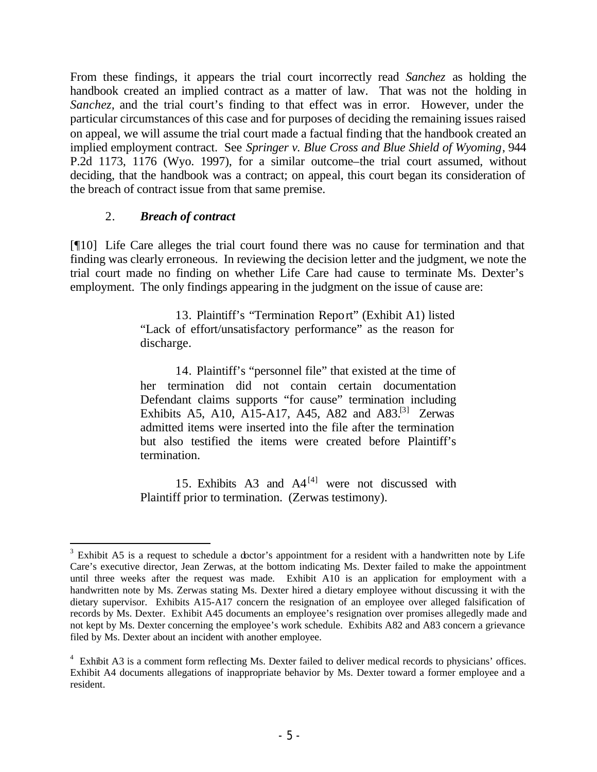From these findings, it appears the trial court incorrectly read *Sanchez* as holding the handbook created an implied contract as a matter of law. That was not the holding in *Sanchez,* and the trial court's finding to that effect was in error. However, under the particular circumstances of this case and for purposes of deciding the remaining issues raised on appeal, we will assume the trial court made a factual finding that the handbook created an implied employment contract. See *Springer v. Blue Cross and Blue Shield of Wyoming*, 944 P.2d 1173, 1176 (Wyo. 1997), for a similar outcome–the trial court assumed, without deciding, that the handbook was a contract; on appeal, this court began its consideration of the breach of contract issue from that same premise.

### 2. *Breach of contract*

[¶10] Life Care alleges the trial court found there was no cause for termination and that finding was clearly erroneous. In reviewing the decision letter and the judgment, we note the trial court made no finding on whether Life Care had cause to terminate Ms. Dexter's employment. The only findings appearing in the judgment on the issue of cause are:

> 13. Plaintiff's "Termination Report" (Exhibit A1) listed "Lack of effort/unsatisfactory performance" as the reason for discharge.

> 14. Plaintiff's "personnel file" that existed at the time of her termination did not contain certain documentation Defendant claims supports "for cause" termination including Exhibits A5, A10, A15-A17, A45, A82 and A83.<sup>[3]</sup> Zerwas admitted items were inserted into the file after the termination but also testified the items were created before Plaintiff's termination.

> 15. Exhibits A3 and  $A4^{[4]}$  were not discussed with Plaintiff prior to termination. (Zerwas testimony).

  $3$  Exhibit A5 is a request to schedule a doctor's appointment for a resident with a handwritten note by Life Care's executive director, Jean Zerwas, at the bottom indicating Ms. Dexter failed to make the appointment until three weeks after the request was made. Exhibit A10 is an application for employment with a handwritten note by Ms. Zerwas stating Ms. Dexter hired a dietary employee without discussing it with the dietary supervisor. Exhibits A15-A17 concern the resignation of an employee over alleged falsification of records by Ms. Dexter. Exhibit A45 documents an employee's resignation over promises allegedly made and not kept by Ms. Dexter concerning the employee's work schedule. Exhibits A82 and A83 concern a grievance filed by Ms. Dexter about an incident with another employee.

<sup>&</sup>lt;sup>4</sup> Exhibit A3 is a comment form reflecting Ms. Dexter failed to deliver medical records to physicians' offices. Exhibit A4 documents allegations of inappropriate behavior by Ms. Dexter toward a former employee and a resident.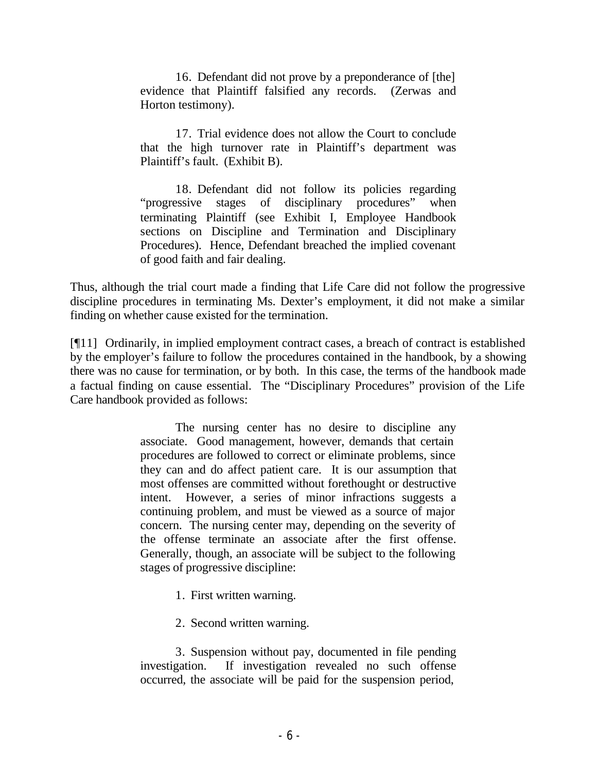16. Defendant did not prove by a preponderance of [the] evidence that Plaintiff falsified any records. (Zerwas and Horton testimony).

17. Trial evidence does not allow the Court to conclude that the high turnover rate in Plaintiff's department was Plaintiff's fault. (Exhibit B).

18. Defendant did not follow its policies regarding "progressive stages of disciplinary procedures" when terminating Plaintiff (see Exhibit I, Employee Handbook sections on Discipline and Termination and Disciplinary Procedures). Hence, Defendant breached the implied covenant of good faith and fair dealing.

Thus, although the trial court made a finding that Life Care did not follow the progressive discipline procedures in terminating Ms. Dexter's employment, it did not make a similar finding on whether cause existed for the termination.

[¶11] Ordinarily, in implied employment contract cases, a breach of contract is established by the employer's failure to follow the procedures contained in the handbook, by a showing there was no cause for termination, or by both. In this case, the terms of the handbook made a factual finding on cause essential. The "Disciplinary Procedures" provision of the Life Care handbook provided as follows:

> The nursing center has no desire to discipline any associate. Good management, however, demands that certain procedures are followed to correct or eliminate problems, since they can and do affect patient care. It is our assumption that most offenses are committed without forethought or destructive intent. However, a series of minor infractions suggests a continuing problem, and must be viewed as a source of major concern. The nursing center may, depending on the severity of the offense terminate an associate after the first offense. Generally, though, an associate will be subject to the following stages of progressive discipline:

- 1. First written warning.
- 2. Second written warning.

3. Suspension without pay, documented in file pending investigation. If investigation revealed no such offense occurred, the associate will be paid for the suspension period,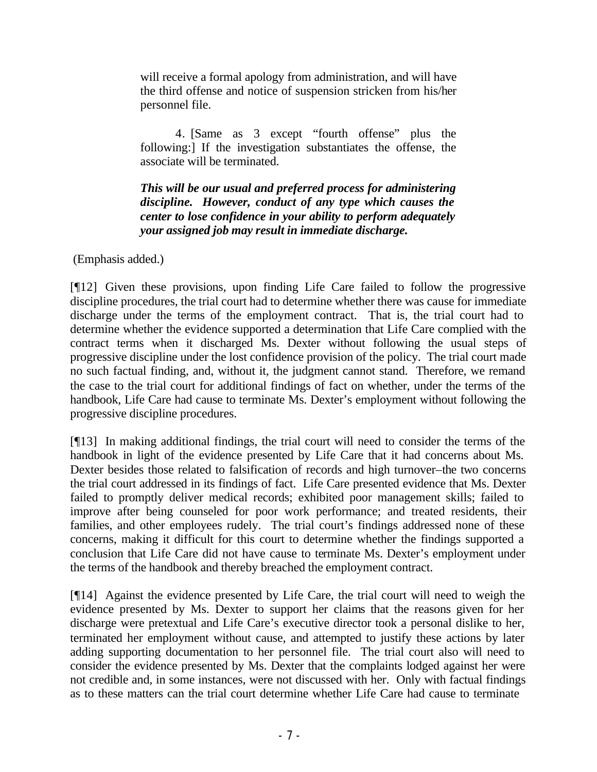will receive a formal apology from administration, and will have the third offense and notice of suspension stricken from his/her personnel file.

4. [Same as 3 except "fourth offense" plus the following:] If the investigation substantiates the offense, the associate will be terminated.

*This will be our usual and preferred process for administering discipline.**However, conduct of any type which causes the center to lose confidence in your ability to perform adequately your assigned job may result in immediate discharge.* 

(Emphasis added.)

[¶12] Given these provisions, upon finding Life Care failed to follow the progressive discipline procedures, the trial court had to determine whether there was cause for immediate discharge under the terms of the employment contract. That is, the trial court had to determine whether the evidence supported a determination that Life Care complied with the contract terms when it discharged Ms. Dexter without following the usual steps of progressive discipline under the lost confidence provision of the policy. The trial court made no such factual finding, and, without it, the judgment cannot stand. Therefore, we remand the case to the trial court for additional findings of fact on whether, under the terms of the handbook, Life Care had cause to terminate Ms. Dexter's employment without following the progressive discipline procedures.

[¶13] In making additional findings, the trial court will need to consider the terms of the handbook in light of the evidence presented by Life Care that it had concerns about Ms. Dexter besides those related to falsification of records and high turnover–the two concerns the trial court addressed in its findings of fact. Life Care presented evidence that Ms. Dexter failed to promptly deliver medical records; exhibited poor management skills; failed to improve after being counseled for poor work performance; and treated residents, their families, and other employees rudely. The trial court's findings addressed none of these concerns, making it difficult for this court to determine whether the findings supported a conclusion that Life Care did not have cause to terminate Ms. Dexter's employment under the terms of the handbook and thereby breached the employment contract.

[¶14] Against the evidence presented by Life Care, the trial court will need to weigh the evidence presented by Ms. Dexter to support her claims that the reasons given for her discharge were pretextual and Life Care's executive director took a personal dislike to her, terminated her employment without cause, and attempted to justify these actions by later adding supporting documentation to her personnel file. The trial court also will need to consider the evidence presented by Ms. Dexter that the complaints lodged against her were not credible and, in some instances, were not discussed with her. Only with factual findings as to these matters can the trial court determine whether Life Care had cause to terminate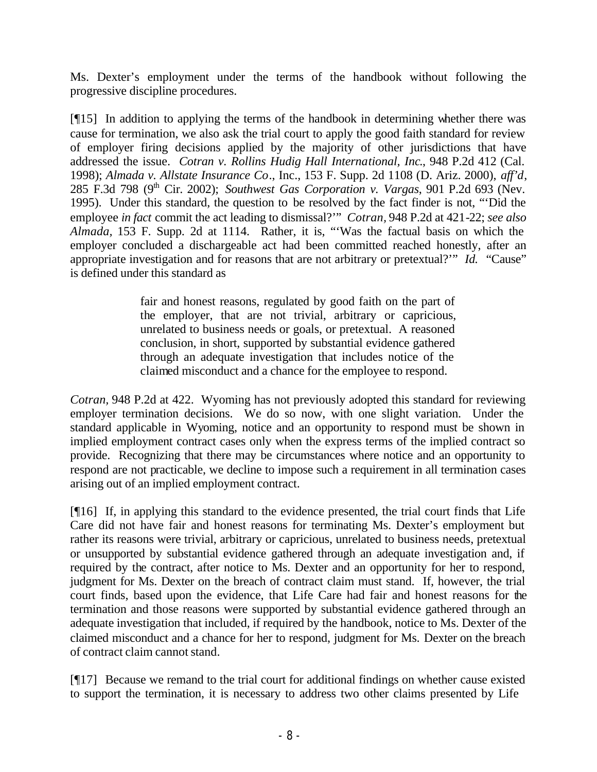Ms. Dexter's employment under the terms of the handbook without following the progressive discipline procedures.

[¶15] In addition to applying the terms of the handbook in determining whether there was cause for termination, we also ask the trial court to apply the good faith standard for review of employer firing decisions applied by the majority of other jurisdictions that have addressed the issue. *Cotran v. Rollins Hudig Hall International, Inc*., 948 P.2d 412 (Cal. 1998); *Almada v. Allstate Insurance Co*., Inc., 153 F. Supp. 2d 1108 (D. Ariz. 2000), *aff'd*, 285 F.3d 798 (9<sup>th</sup> Cir. 2002); *Southwest Gas Corporation v. Vargas*, 901 P.2d 693 (Nev. 1995). Under this standard, the question to be resolved by the fact finder is not, "'Did the employee *in fact* commit the act leading to dismissal?'" *Cotran,* 948 P.2d at 421-22; *see also Almada,* 153 F. Supp. 2d at 1114. Rather, it is, "'Was the factual basis on which the employer concluded a dischargeable act had been committed reached honestly, after an appropriate investigation and for reasons that are not arbitrary or pretextual?'" *Id.* "Cause" is defined under this standard as

> fair and honest reasons, regulated by good faith on the part of the employer, that are not trivial, arbitrary or capricious, unrelated to business needs or goals, or pretextual. A reasoned conclusion, in short, supported by substantial evidence gathered through an adequate investigation that includes notice of the claimed misconduct and a chance for the employee to respond.

*Cotran,* 948 P.2d at 422. Wyoming has not previously adopted this standard for reviewing employer termination decisions. We do so now, with one slight variation. Under the standard applicable in Wyoming, notice and an opportunity to respond must be shown in implied employment contract cases only when the express terms of the implied contract so provide. Recognizing that there may be circumstances where notice and an opportunity to respond are not practicable, we decline to impose such a requirement in all termination cases arising out of an implied employment contract.

[¶16] If, in applying this standard to the evidence presented, the trial court finds that Life Care did not have fair and honest reasons for terminating Ms. Dexter's employment but rather its reasons were trivial, arbitrary or capricious, unrelated to business needs, pretextual or unsupported by substantial evidence gathered through an adequate investigation and, if required by the contract, after notice to Ms. Dexter and an opportunity for her to respond, judgment for Ms. Dexter on the breach of contract claim must stand. If, however, the trial court finds, based upon the evidence, that Life Care had fair and honest reasons for the termination and those reasons were supported by substantial evidence gathered through an adequate investigation that included, if required by the handbook, notice to Ms. Dexter of the claimed misconduct and a chance for her to respond, judgment for Ms. Dexter on the breach of contract claim cannot stand.

[¶17] Because we remand to the trial court for additional findings on whether cause existed to support the termination, it is necessary to address two other claims presented by Life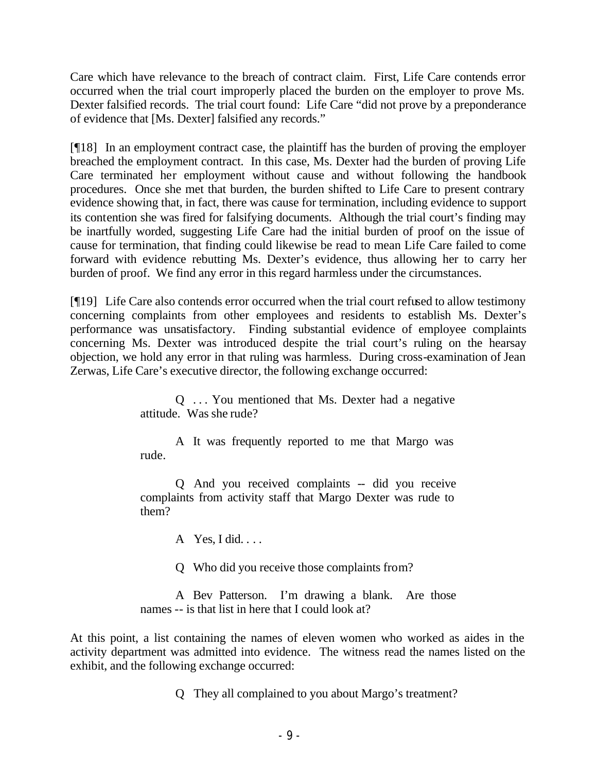Care which have relevance to the breach of contract claim. First, Life Care contends error occurred when the trial court improperly placed the burden on the employer to prove Ms. Dexter falsified records. The trial court found: Life Care "did not prove by a preponderance of evidence that [Ms. Dexter] falsified any records."

[¶18] In an employment contract case, the plaintiff has the burden of proving the employer breached the employment contract. In this case, Ms. Dexter had the burden of proving Life Care terminated her employment without cause and without following the handbook procedures. Once she met that burden, the burden shifted to Life Care to present contrary evidence showing that, in fact, there was cause for termination, including evidence to support its contention she was fired for falsifying documents. Although the trial court's finding may be inartfully worded, suggesting Life Care had the initial burden of proof on the issue of cause for termination, that finding could likewise be read to mean Life Care failed to come forward with evidence rebutting Ms. Dexter's evidence, thus allowing her to carry her burden of proof. We find any error in this regard harmless under the circumstances.

[¶19] Life Care also contends error occurred when the trial court refused to allow testimony concerning complaints from other employees and residents to establish Ms. Dexter's performance was unsatisfactory. Finding substantial evidence of employee complaints concerning Ms. Dexter was introduced despite the trial court's ruling on the hearsay objection, we hold any error in that ruling was harmless. During cross-examination of Jean Zerwas, Life Care's executive director, the following exchange occurred:

> Q . . . You mentioned that Ms. Dexter had a negative attitude. Was she rude?

> A It was frequently reported to me that Margo was rude.

Q And you received complaints -- did you receive complaints from activity staff that Margo Dexter was rude to them?

A Yes, I did. . . .

Q Who did you receive those complaints from?

A Bev Patterson. I'm drawing a blank. Are those names -- is that list in here that I could look at?

At this point, a list containing the names of eleven women who worked as aides in the activity department was admitted into evidence. The witness read the names listed on the exhibit, and the following exchange occurred:

Q They all complained to you about Margo's treatment?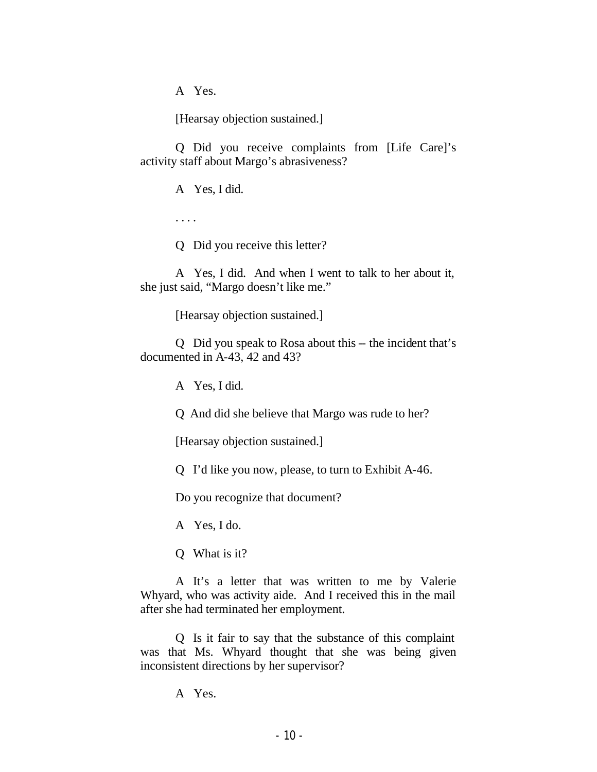A Yes.

[Hearsay objection sustained.]

Q Did you receive complaints from [Life Care]'s activity staff about Margo's abrasiveness?

A Yes, I did.

. . . .

Q Did you receive this letter?

A Yes, I did. And when I went to talk to her about it, she just said, "Margo doesn't like me."

[Hearsay objection sustained.]

Q Did you speak to Rosa about this -- the incident that's documented in A-43, 42 and 43?

A Yes, I did.

Q And did she believe that Margo was rude to her?

[Hearsay objection sustained.]

Q I'd like you now, please, to turn to Exhibit A-46.

Do you recognize that document?

A Yes, I do.

Q What is it?

A It's a letter that was written to me by Valerie Whyard, who was activity aide. And I received this in the mail after she had terminated her employment.

Q Is it fair to say that the substance of this complaint was that Ms. Whyard thought that she was being given inconsistent directions by her supervisor?

A Yes.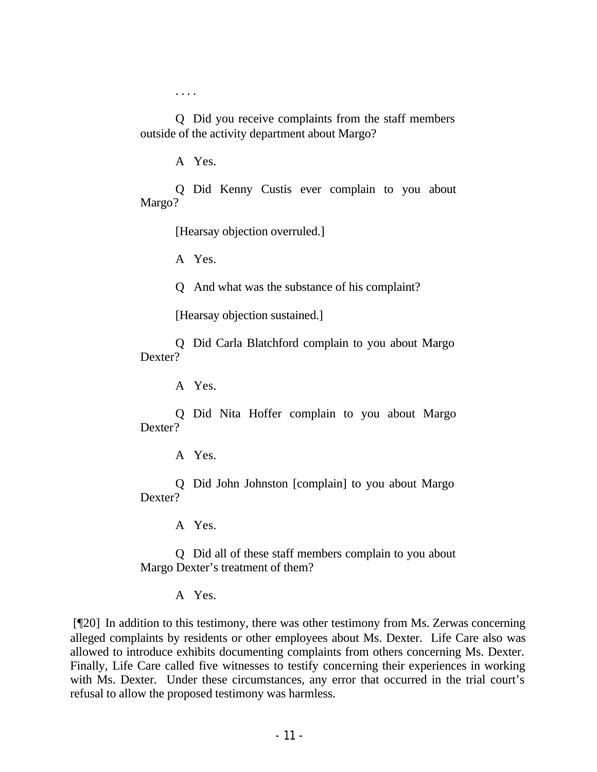. . . .

Q Did you receive complaints from the staff members outside of the activity department about Margo?

A Yes.

Q Did Kenny Custis ever complain to you about Margo?

[Hearsay objection overruled.]

A Yes.

Q And what was the substance of his complaint?

[Hearsay objection sustained.]

Q Did Carla Blatchford complain to you about Margo Dexter?

A Yes.

Q Did Nita Hoffer complain to you about Margo Dexter?

A Yes.

Q Did John Johnston [complain] to you about Margo Dexter?

A Yes.

Q Did all of these staff members complain to you about Margo Dexter's treatment of them?

A Yes.

 [¶20] In addition to this testimony, there was other testimony from Ms. Zerwas concerning alleged complaints by residents or other employees about Ms. Dexter. Life Care also was allowed to introduce exhibits documenting complaints from others concerning Ms. Dexter. Finally, Life Care called five witnesses to testify concerning their experiences in working with Ms. Dexter. Under these circumstances, any error that occurred in the trial court's refusal to allow the proposed testimony was harmless.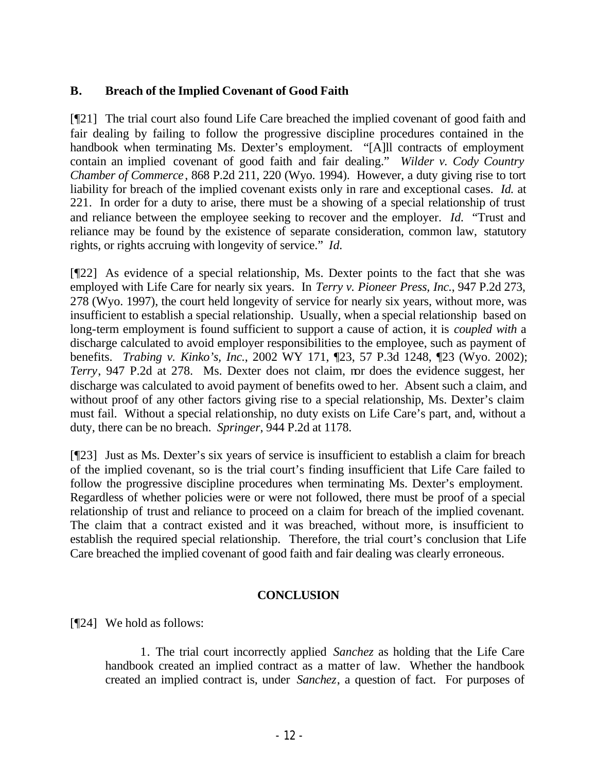# **B. Breach of the Implied Covenant of Good Faith**

[¶21] The trial court also found Life Care breached the implied covenant of good faith and fair dealing by failing to follow the progressive discipline procedures contained in the handbook when terminating Ms. Dexter's employment. "[A]ll contracts of employment contain an implied covenant of good faith and fair dealing." *Wilder v. Cody Country Chamber of Commerce*, 868 P.2d 211, 220 (Wyo. 1994). However, a duty giving rise to tort liability for breach of the implied covenant exists only in rare and exceptional cases. *Id.* at 221. In order for a duty to arise, there must be a showing of a special relationship of trust and reliance between the employee seeking to recover and the employer. *Id.* "Trust and reliance may be found by the existence of separate consideration, common law, statutory rights, or rights accruing with longevity of service." *Id.*

[¶22] As evidence of a special relationship, Ms. Dexter points to the fact that she was employed with Life Care for nearly six years. In *Terry v. Pioneer Press, Inc.*, 947 P.2d 273, 278 (Wyo. 1997), the court held longevity of service for nearly six years, without more, was insufficient to establish a special relationship. Usually, when a special relationship based on long-term employment is found sufficient to support a cause of action, it is *coupled with* a discharge calculated to avoid employer responsibilities to the employee, such as payment of benefits. *Trabing v. Kinko's, Inc.*, 2002 WY 171, ¶23, 57 P.3d 1248, ¶23 (Wyo. 2002); *Terry*, 947 P.2d at 278. Ms. Dexter does not claim, nor does the evidence suggest, her discharge was calculated to avoid payment of benefits owed to her. Absent such a claim, and without proof of any other factors giving rise to a special relationship, Ms. Dexter's claim must fail. Without a special relationship, no duty exists on Life Care's part, and, without a duty, there can be no breach. *Springer*, 944 P.2d at 1178.

[¶23] Just as Ms. Dexter's six years of service is insufficient to establish a claim for breach of the implied covenant, so is the trial court's finding insufficient that Life Care failed to follow the progressive discipline procedures when terminating Ms. Dexter's employment. Regardless of whether policies were or were not followed, there must be proof of a special relationship of trust and reliance to proceed on a claim for breach of the implied covenant. The claim that a contract existed and it was breached, without more, is insufficient to establish the required special relationship. Therefore, the trial court's conclusion that Life Care breached the implied covenant of good faith and fair dealing was clearly erroneous.

#### **CONCLUSION**

[¶24] We hold as follows:

1. The trial court incorrectly applied *Sanchez* as holding that the Life Care handbook created an implied contract as a matter of law. Whether the handbook created an implied contract is, under *Sanchez*, a question of fact. For purposes of